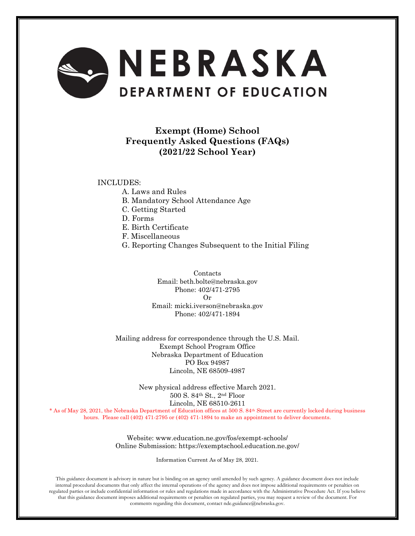

# **Exempt (Home) School Frequently Asked Questions (FAQs) (2021/22 School Year)**

#### INCLUDES:

- A. Laws and Rules
- B. Mandatory School Attendance Age
- C. Getting Started
- D. Forms
- E. Birth Certificate
- F. Miscellaneous
- G. Reporting Changes Subsequent to the Initial Filing

Contacts Email: beth.bolte@nebraska.gov Phone: 402/471-2795 Or Email: micki.iverson@nebraska.gov Phone: 402/471-1894

Mailing address for correspondence through the U.S. Mail. Exempt School Program Office Nebraska Department of Education PO Box 94987 Lincoln, NE 68509-4987

> New physical address effective March 2021. 500 S. 84th St., 2nd Floor Lincoln, NE 68510-2611

\* As of May 28, 2021, the Nebraska Department of Education offices at 500 S. 84th Street are currently locked during business hours. Please call (402) 471-2795 or (402) 471-1894 to make an appointment to deliver documents.

> Website: www.education.ne.gov/fos/exempt-schools/ Online Submission: https://exemptschool.education.ne.gov/

> > Information Current As of May 28, 2021.

This guidance document is advisory in nature but is binding on an agency until amended by such agency. A guidance document does not include internal procedural documents that only affect the internal operations of the agency and does not impose additional requirements or penalties on regulated parties or include confidential information or rules and regulations made in accordance with the Administrative Procedure Act. If you believe that this guidance document imposes additional requirements or penalties on regulated parties, you may request a review of the document. For comments regarding this document, contact nde.guidance@nebraska.gov.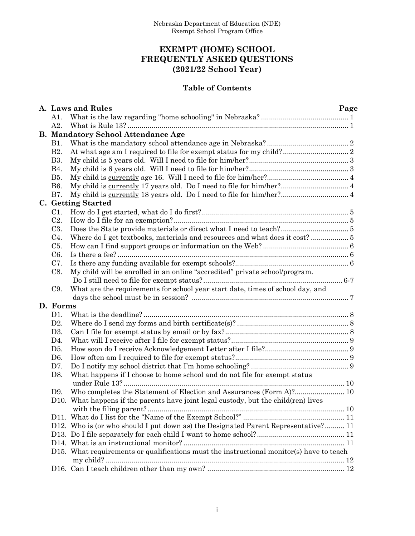# **EXEMPT (HOME) SCHOOL FREQUENTLY ASKED QUESTIONS (2021/22 School Year)**

# **Table of Contents**

|                  | A. Laws and Rules                                                                        | Page |  |  |  |  |
|------------------|------------------------------------------------------------------------------------------|------|--|--|--|--|
| A1.              |                                                                                          |      |  |  |  |  |
| A2.              |                                                                                          |      |  |  |  |  |
|                  | <b>B. Mandatory School Attendance Age</b>                                                |      |  |  |  |  |
| <b>B1.</b>       |                                                                                          |      |  |  |  |  |
| <b>B2.</b>       |                                                                                          |      |  |  |  |  |
| <b>B3.</b>       |                                                                                          |      |  |  |  |  |
| <b>B</b> 4.      |                                                                                          |      |  |  |  |  |
| <b>B5.</b>       |                                                                                          |      |  |  |  |  |
| <b>B6.</b>       | My child is currently 17 years old. Do I need to file for him/her? 4                     |      |  |  |  |  |
| <b>B7.</b>       |                                                                                          |      |  |  |  |  |
|                  | <b>C.</b> Getting Started                                                                |      |  |  |  |  |
| C1.              |                                                                                          |      |  |  |  |  |
| C <sub>2</sub> . |                                                                                          |      |  |  |  |  |
| C <sub>3</sub> . |                                                                                          |      |  |  |  |  |
| $C4$ .           | Where do I get textbooks, materials and resources and what does it cost?  5              |      |  |  |  |  |
| C <sub>5</sub> . |                                                                                          |      |  |  |  |  |
| C <sub>6</sub> . |                                                                                          |      |  |  |  |  |
| C7.              |                                                                                          |      |  |  |  |  |
| C8.              | My child will be enrolled in an online "accredited" private school/program.              |      |  |  |  |  |
|                  |                                                                                          |      |  |  |  |  |
| C9.              | What are the requirements for school year start date, times of school day, and           |      |  |  |  |  |
|                  |                                                                                          |      |  |  |  |  |
| D. Forms         |                                                                                          |      |  |  |  |  |
| D1.              |                                                                                          |      |  |  |  |  |
| D2.              |                                                                                          |      |  |  |  |  |
| D <sub>3</sub> . |                                                                                          |      |  |  |  |  |
| D4.              |                                                                                          |      |  |  |  |  |
| D <sub>5</sub> . |                                                                                          |      |  |  |  |  |
| D <sub>6</sub> . |                                                                                          |      |  |  |  |  |
| D7.              |                                                                                          |      |  |  |  |  |
| D8.              | What happens if I choose to home school and do not file for exempt status                |      |  |  |  |  |
|                  |                                                                                          |      |  |  |  |  |
| D9.              | Who completes the Statement of Election and Assurances (Form A)? 10                      |      |  |  |  |  |
|                  | D10. What happens if the parents have joint legal custody, but the child (ren) lives     |      |  |  |  |  |
|                  |                                                                                          |      |  |  |  |  |
|                  |                                                                                          |      |  |  |  |  |
|                  | D12. Who is (or who should I put down as) the Designated Parent Representative? 11       |      |  |  |  |  |
|                  |                                                                                          |      |  |  |  |  |
|                  |                                                                                          |      |  |  |  |  |
|                  | D15. What requirements or qualifications must the instructional monitor(s) have to teach |      |  |  |  |  |
|                  |                                                                                          |      |  |  |  |  |
|                  |                                                                                          |      |  |  |  |  |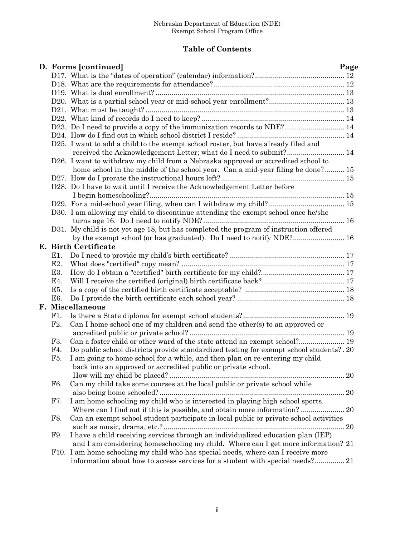### **Table of Contents**

|  |                  | D. Forms [continued]                                                                     | Page |
|--|------------------|------------------------------------------------------------------------------------------|------|
|  |                  |                                                                                          |      |
|  |                  |                                                                                          |      |
|  |                  |                                                                                          |      |
|  |                  |                                                                                          |      |
|  |                  |                                                                                          |      |
|  |                  |                                                                                          |      |
|  |                  | D23. Do I need to provide a copy of the immunization records to NDE? 14                  |      |
|  |                  |                                                                                          |      |
|  |                  | D25. I want to add a child to the exempt school roster, but have already filed and       |      |
|  |                  | received the Acknowledgement Letter; what do I need to submit? 14                        |      |
|  |                  | D26. I want to withdraw my child from a Nebraska approved or accredited school to        |      |
|  |                  | home school in the middle of the school year. Can a mid-year filing be done? 15          |      |
|  |                  |                                                                                          |      |
|  |                  | D28. Do I have to wait until I receive the Acknowledgement Letter before                 |      |
|  |                  |                                                                                          |      |
|  |                  | D29. For a mid-school year filing, when can I withdraw my child? 15                      |      |
|  |                  | D30. I am allowing my child to discontinue attending the exempt school once he/she       |      |
|  |                  |                                                                                          |      |
|  |                  | D31. My child is not yet age 18, but has completed the program of instruction offered    |      |
|  |                  | by the exempt school (or has graduated). Do I need to notify NDE? 16                     |      |
|  |                  | E. Birth Certificate                                                                     |      |
|  | E1.              |                                                                                          |      |
|  | E <sub>2</sub> . |                                                                                          |      |
|  | E3.              |                                                                                          |      |
|  |                  |                                                                                          |      |
|  | E4.              |                                                                                          |      |
|  | E5.              |                                                                                          |      |
|  | E6.              |                                                                                          |      |
|  |                  | F. Miscellaneous                                                                         |      |
|  | F1.              |                                                                                          |      |
|  | F2.              | Can I home school one of my children and send the other(s) to an approved or             |      |
|  |                  |                                                                                          |      |
|  | F3.              | Can a foster child or other ward of the state attend an exempt school? 19                |      |
|  | F4.              | Do public school districts provide standardized testing for exempt school students? . 20 |      |
|  | F5.              | I am going to home school for a while, and then plan on re-entering my child             |      |
|  |                  | back into an approved or accredited public or private school.                            |      |
|  |                  |                                                                                          |      |
|  | F6.              | Can my child take some courses at the local public or private school while               |      |
|  |                  |                                                                                          |      |
|  | F7.              | I am home schooling my child who is interested in playing high school sports.            |      |
|  |                  |                                                                                          |      |
|  | F8.              | Can an exempt school student participate in local public or private school activities    |      |
|  |                  |                                                                                          |      |
|  | F9.              | I have a child receiving services through an individualized education plan (IEP)         |      |
|  |                  | and I am considering homeschooling my child. Where can I get more information? 21        |      |
|  |                  | F10. I am home schooling my child who has special needs, where can I receive more        |      |
|  |                  | information about how to access services for a student with special needs? 21            |      |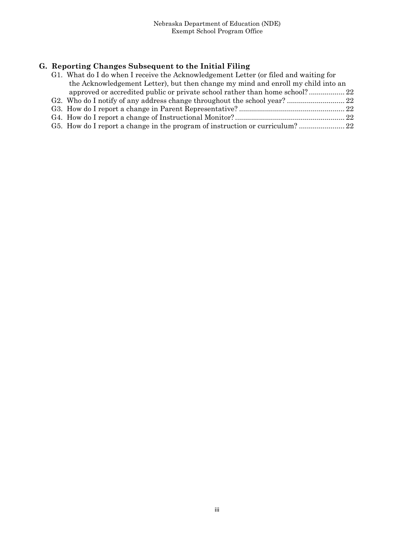# **G. Reporting Changes Subsequent to the Initial Filing**

| G1. What do I do when I receive the Acknowledgement Letter (or filed and waiting for |  |
|--------------------------------------------------------------------------------------|--|
| the Acknowledgement Letter), but then change my mind and enroll my child into an     |  |
|                                                                                      |  |
|                                                                                      |  |
|                                                                                      |  |
|                                                                                      |  |
|                                                                                      |  |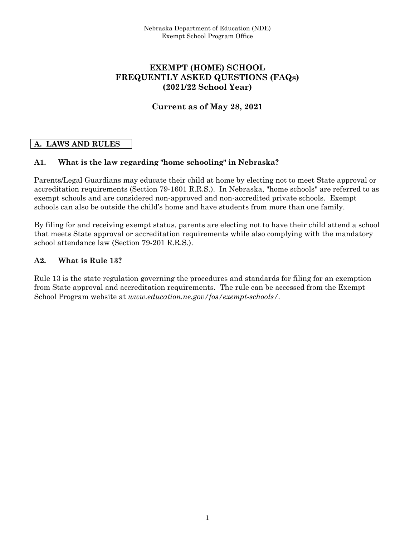### **EXEMPT (HOME) SCHOOL FREQUENTLY ASKED QUESTIONS (FAQs) (2021/22 School Year)**

### **Current as of May 28, 2021**

### **A. LAWS AND RULES**

### **A1. What is the law regarding "home schooling" in Nebraska?**

Parents/Legal Guardians may educate their child at home by electing not to meet State approval or accreditation requirements (Section 79-1601 R.R.S.). In Nebraska, "home schools" are referred to as exempt schools and are considered non-approved and non-accredited private schools. Exempt schools can also be outside the child's home and have students from more than one family.

By filing for and receiving exempt status, parents are electing not to have their child attend a school that meets State approval or accreditation requirements while also complying with the mandatory school attendance law (Section 79-201 R.R.S.).

### **A2. What is Rule 13?**

Rule 13 is the state regulation governing the procedures and standards for filing for an exemption from State approval and accreditation requirements. The rule can be accessed from the Exempt School Program website at *www.education.ne.gov/fos/exempt-schools/.*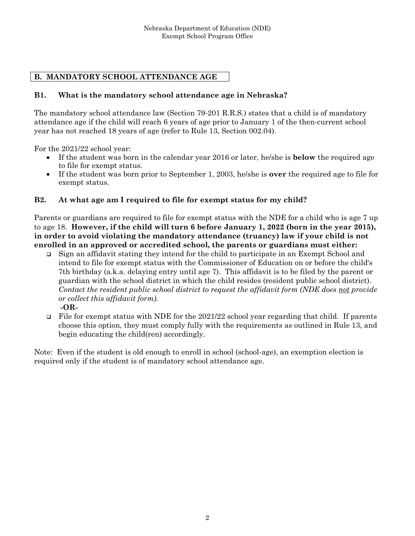# **B. MANDATORY SCHOOL ATTENDANCE AGE**

### **B1. What is the mandatory school attendance age in Nebraska?**

The mandatory school attendance law (Section 79-201 R.R.S.) states that a child is of mandatory attendance age if the child will reach 6 years of age prior to January 1 of the then-current school year has not reached 18 years of age (refer to Rule 13, Section 002.04).

For the 2021/22 school year:

- If the student was born in the calendar year 2016 or later, he/she is **below** the required age to file for exempt status.
- If the student was born prior to September 1, 2003, he/she is **over** the required age to file for exempt status.

#### **B2. At what age am I required to file for exempt status for my child?**

Parents or guardians are required to file for exempt status with the NDE for a child who is age 7 up to age 18. **However, if the child will turn 6 before January 1, 2022 (born in the year 2015), in order to avoid violating the mandatory attendance (truancy) law if your child is not enrolled in an approved or accredited school, the parents or guardians must either:** 

 Sign an affidavit stating they intend for the child to participate in an Exempt School and intend to file for exempt status with the Commissioner of Education on or before the child's 7th birthday (a.k.a. delaying entry until age 7). This affidavit is to be filed by the parent or guardian with the school district in which the child resides (resident public school district). *Contact the resident public school district to request the affidavit form (NDE does not provide or collect this affidavit form).*

**-OR-**

File for exempt status with NDE for the 2021/22 school year regarding that child. If parents choose this option, they must comply fully with the requirements as outlined in Rule 13, and begin educating the child(ren) accordingly.

Note: Even if the student is old enough to enroll in school (school-age), an exemption election is required only if the student is of mandatory school attendance age.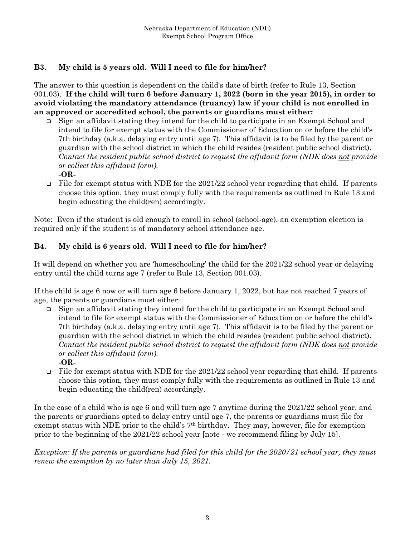### **B3. My child is 5 years old. Will I need to file for him/her?**

The answer to this question is dependent on the child's date of birth (refer to Rule 13, Section 001.03). **If the child will turn 6 before January 1, 2022 (born in the year 2015), in order to avoid violating the mandatory attendance (truancy) law if your child is not enrolled in an approved or accredited school, the parents or guardians must either:** 

- Sign an affidavit stating they intend for the child to participate in an Exempt School and intend to file for exempt status with the Commissioner of Education on or before the child's 7th birthday (a.k.a. delaying entry until age 7). This affidavit is to be filed by the parent or guardian with the school district in which the child resides (resident public school district). *Contact the resident public school district to request the affidavit form (NDE does not provide or collect this affidavit form).* **-OR-**
- File for exempt status with NDE for the 2021/22 school year regarding that child. If parents choose this option, they must comply fully with the requirements as outlined in Rule 13 and begin educating the child(ren) accordingly.

Note: Even if the student is old enough to enroll in school (school-age), an exemption election is required only if the student is of mandatory school attendance age.

### **B4. My child is 6 years old. Will I need to file for him/her?**

It will depend on whether you are 'homeschooling' the child for the 2021/22 school year or delaying entry until the child turns age 7 (refer to Rule 13, Section 001.03).

If the child is age 6 now or will turn age 6 before January 1, 2022, but has not reached 7 years of age, the parents or guardians must either:

- Sign an affidavit stating they intend for the child to participate in an Exempt School and intend to file for exempt status with the Commissioner of Education on or before the child's 7th birthday (a.k.a. delaying entry until age 7). This affidavit is to be filed by the parent or guardian with the school district in which the child resides (resident public school district). *Contact the resident public school district to request the affidavit form (NDE does not provide or collect this affidavit form).*
	- **-OR-**
- File for exempt status with NDE for the 2021/22 school year regarding that child. If parents choose this option, they must comply fully with the requirements as outlined in Rule 13 and begin educating the child(ren) accordingly.

In the case of a child who is age 6 and will turn age 7 anytime during the 2021/22 school year, and the parents or guardians opted to delay entry until age 7, the parents or guardians must file for exempt status with NDE prior to the child's 7th birthday. They may, however, file for exemption prior to the beginning of the 2021/22 school year [note - we recommend filing by July 15].

*Exception: If the parents or guardians had filed for this child for the 2020/21 school year, they must renew the exemption by no later than July 15, 2021.*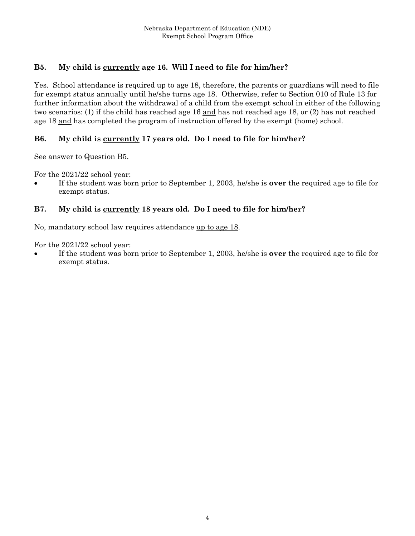## **B5. My child is currently age 16. Will I need to file for him/her?**

Yes. School attendance is required up to age 18, therefore, the parents or guardians will need to file for exempt status annually until he/she turns age 18. Otherwise, refer to Section 010 of Rule 13 for further information about the withdrawal of a child from the exempt school in either of the following two scenarios: (1) if the child has reached age 16 and has not reached age 18, or (2) has not reached age 18 and has completed the program of instruction offered by the exempt (home) school.

### **B6. My child is currently 17 years old. Do I need to file for him/her?**

See answer to Question B5.

For the 2021/22 school year:

 If the student was born prior to September 1, 2003, he/she is **over** the required age to file for exempt status.

### **B7. My child is currently 18 years old. Do I need to file for him/her?**

No, mandatory school law requires attendance up to age 18.

For the 2021/22 school year:

 If the student was born prior to September 1, 2003, he/she is **over** the required age to file for exempt status.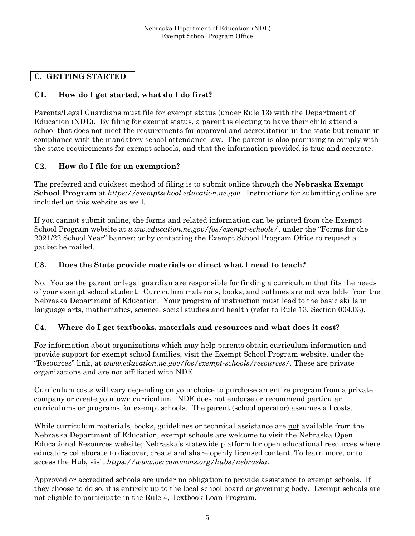### **C. GETTING STARTED**

### **C1. How do I get started, what do I do first?**

Parents/Legal Guardians must file for exempt status (under Rule 13) with the Department of Education (NDE). By filing for exempt status, a parent is electing to have their child attend a school that does not meet the requirements for approval and accreditation in the state but remain in compliance with the mandatory school attendance law. The parent is also promising to comply with the state requirements for exempt schools, and that the information provided is true and accurate.

### **C2. How do I file for an exemption?**

The preferred and quickest method of filing is to submit online through the **Nebraska Exempt School Program** at *https://exemptschool.education.ne.gov*. Instructions for submitting online are included on this website as well.

If you cannot submit online, the forms and related information can be printed from the Exempt School Program website at *www.education.ne.gov/fos/exempt-schools/*, under the "Forms for the 2021/22 School Year" banner: or by contacting the Exempt School Program Office to request a packet be mailed.

#### **C3. Does the State provide materials or direct what I need to teach?**

No. You as the parent or legal guardian are responsible for finding a curriculum that fits the needs of your exempt school student. Curriculum materials, books, and outlines are not available from the Nebraska Department of Education. Your program of instruction must lead to the basic skills in language arts, mathematics, science, social studies and health (refer to Rule 13, Section 004.03).

#### **C4. Where do I get textbooks, materials and resources and what does it cost?**

For information about organizations which may help parents obtain curriculum information and provide support for exempt school families, visit the Exempt School Program website, under the "Resources" link, at *www.education.ne.gov/fos/exempt-schools/resources/.* These are private organizations and are not affiliated with NDE.

Curriculum costs will vary depending on your choice to purchase an entire program from a private company or create your own curriculum. NDE does not endorse or recommend particular curriculums or programs for exempt schools. The parent (school operator) assumes all costs.

While curriculum materials, books, guidelines or technical assistance are not available from the Nebraska Department of Education, exempt schools are welcome to visit the Nebraska Open Educational Resources website; Nebraska's statewide platform for open educational resources where educators collaborate to discover, create and share openly licensed content. To learn more, or to access the Hub, visit *https://www.oercommons.org/hubs/nebraska*.

Approved or accredited schools are under no obligation to provide assistance to exempt schools. If they choose to do so, it is entirely up to the local school board or governing body. Exempt schools are not eligible to participate in the Rule 4, Textbook Loan Program.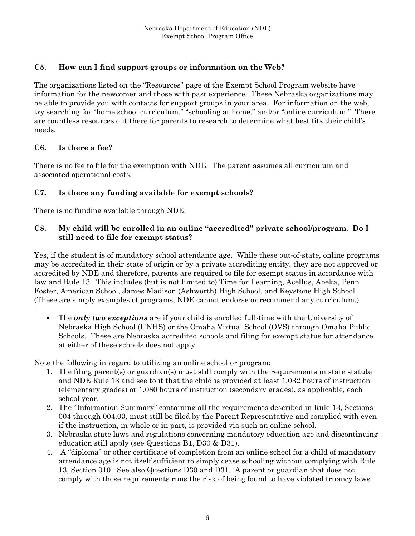### **C5. How can I find support groups or information on the Web?**

The organizations listed on the "Resources" page of the Exempt School Program website have information for the newcomer and those with past experience. These Nebraska organizations may be able to provide you with contacts for support groups in your area. For information on the web, try searching for "home school curriculum," "schooling at home," and/or "online curriculum." There are countless resources out there for parents to research to determine what best fits their child's needs.

### **C6. Is there a fee?**

There is no fee to file for the exemption with NDE. The parent assumes all curriculum and associated operational costs.

### **C7. Is there any funding available for exempt schools?**

There is no funding available through NDE.

### **C8. My child will be enrolled in an online "accredited" private school/program. Do I still need to file for exempt status?**

Yes, if the student is of mandatory school attendance age. While these out-of-state, online programs may be accredited in their state of origin or by a private accrediting entity, they are not approved or accredited by NDE and therefore, parents are required to file for exempt status in accordance with law and Rule 13. This includes (but is not limited to) Time for Learning, Acellus, Abeka, Penn Foster, American School, James Madison (Ashworth) High School, and Keystone High School. (These are simply examples of programs, NDE cannot endorse or recommend any curriculum.)

 The *only two exceptions* are if your child is enrolled full-time with the University of Nebraska High School (UNHS) or the Omaha Virtual School (OVS) through Omaha Public Schools. These are Nebraska accredited schools and filing for exempt status for attendance at either of these schools does not apply.

Note the following in regard to utilizing an online school or program:

- 1. The filing parent(s) or guardian(s) must still comply with the requirements in state statute and NDE Rule 13 and see to it that the child is provided at least 1,032 hours of instruction (elementary grades) or 1,080 hours of instruction (secondary grades), as applicable, each school year.
- 2. The "Information Summary" containing all the requirements described in Rule 13, Sections 004 through 004.03, must still be filed by the Parent Representative and complied with even if the instruction, in whole or in part, is provided via such an online school.
- 3. Nebraska state laws and regulations concerning mandatory education age and discontinuing education still apply (see Questions B1, D30 & D31).
- 4. A "diploma" or other certificate of completion from an online school for a child of mandatory attendance age is not itself sufficient to simply cease schooling without complying with Rule 13, Section 010. See also Questions D30 and D31. A parent or guardian that does not comply with those requirements runs the risk of being found to have violated truancy laws.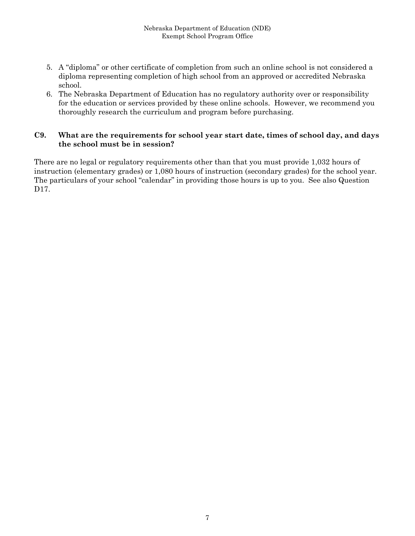- 5. A "diploma" or other certificate of completion from such an online school is not considered a diploma representing completion of high school from an approved or accredited Nebraska school.
- 6. The Nebraska Department of Education has no regulatory authority over or responsibility for the education or services provided by these online schools. However, we recommend you thoroughly research the curriculum and program before purchasing.

#### **C9. What are the requirements for school year start date, times of school day, and days the school must be in session?**

There are no legal or regulatory requirements other than that you must provide 1,032 hours of instruction (elementary grades) or 1,080 hours of instruction (secondary grades) for the school year. The particulars of your school "calendar" in providing those hours is up to you. See also Question D<sub>17</sub>.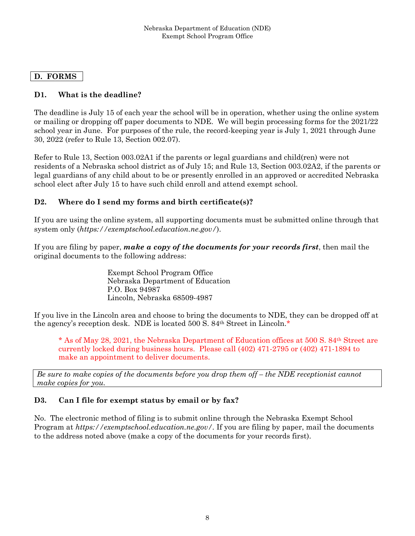### **D. FORMS**

### **D1. What is the deadline?**

The deadline is July 15 of each year the school will be in operation, whether using the online system or mailing or dropping off paper documents to NDE. We will begin processing forms for the 2021/22 school year in June. For purposes of the rule, the record-keeping year is July 1, 2021 through June 30, 2022 (refer to Rule 13, Section 002.07).

Refer to Rule 13, Section 003.02A1 if the parents or legal guardians and child(ren) were not residents of a Nebraska school district as of July 15; and Rule 13, Section 003.02A2, if the parents or legal guardians of any child about to be or presently enrolled in an approved or accredited Nebraska school elect after July 15 to have such child enroll and attend exempt school.

#### **D2. Where do I send my forms and birth certificate(s)?**

If you are using the online system, all supporting documents must be submitted online through that system only (*https://exemptschool.education.ne.gov/*).

If you are filing by paper, *make a copy of the documents for your records first*, then mail the original documents to the following address:

> Exempt School Program Office Nebraska Department of Education P.O. Box 94987 Lincoln, Nebraska 68509-4987

If you live in the Lincoln area and choose to bring the documents to NDE, they can be dropped off at the agency's reception desk. NDE is located 500 S. 84th Street in Lincoln.\*

\* As of May 28, 2021, the Nebraska Department of Education offices at 500 S. 84th Street are currently locked during business hours. Please call (402) 471-2795 or (402) 471-1894 to make an appointment to deliver documents.

*Be sure to make copies of the documents before you drop them off – the NDE receptionist cannot make copies for you.* 

#### **D3. Can I file for exempt status by email or by fax?**

No. The electronic method of filing is to submit online through the Nebraska Exempt School Program at *https://exemptschool.education.ne.gov/.* If you are filing by paper, mail the documents to the address noted above (make a copy of the documents for your records first).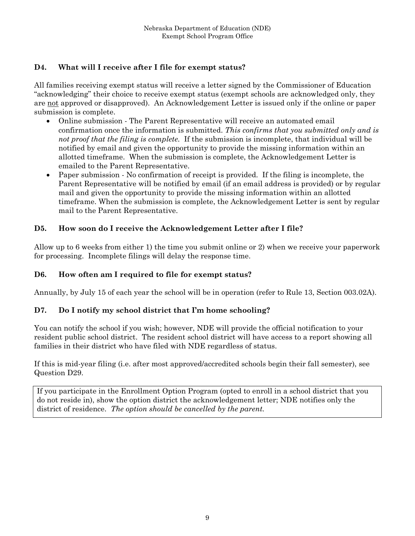### **D4. What will I receive after I file for exempt status?**

All families receiving exempt status will receive a letter signed by the Commissioner of Education "acknowledging" their choice to receive exempt status (exempt schools are acknowledged only, they are not approved or disapproved). An Acknowledgement Letter is issued only if the online or paper submission is complete.

- Online submission The Parent Representative will receive an automated email confirmation once the information is submitted. *This confirms that you submitted only and is not proof that the filing is complete.* If the submission is incomplete, that individual will be notified by email and given the opportunity to provide the missing information within an allotted timeframe. When the submission is complete, the Acknowledgement Letter is emailed to the Parent Representative.
- Paper submission No confirmation of receipt is provided. If the filing is incomplete, the Parent Representative will be notified by email (if an email address is provided) or by regular mail and given the opportunity to provide the missing information within an allotted timeframe. When the submission is complete, the Acknowledgement Letter is sent by regular mail to the Parent Representative.

### **D5. How soon do I receive the Acknowledgement Letter after I file?**

Allow up to 6 weeks from either 1) the time you submit online or 2) when we receive your paperwork for processing. Incomplete filings will delay the response time.

### **D6. How often am I required to file for exempt status?**

Annually, by July 15 of each year the school will be in operation (refer to Rule 13, Section 003.02A).

### **D7. Do I notify my school district that I'm home schooling?**

You can notify the school if you wish; however, NDE will provide the official notification to your resident public school district. The resident school district will have access to a report showing all families in their district who have filed with NDE regardless of status.

If this is mid-year filing (i.e. after most approved/accredited schools begin their fall semester), see Question D29.

If you participate in the Enrollment Option Program (opted to enroll in a school district that you do not reside in), show the option district the acknowledgement letter; NDE notifies only the district of residence. *The option should be cancelled by the parent.*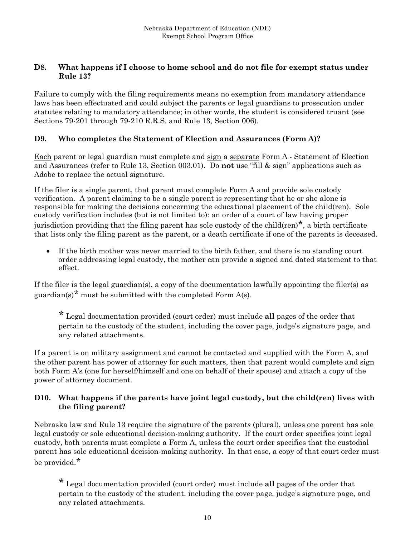#### **D8. What happens if I choose to home school and do not file for exempt status under Rule 13?**

Failure to comply with the filing requirements means no exemption from mandatory attendance laws has been effectuated and could subject the parents or legal guardians to prosecution under statutes relating to mandatory attendance; in other words, the student is considered truant (see Sections 79-201 through 79-210 R.R.S. and Rule 13, Section 006).

#### **D9. Who completes the Statement of Election and Assurances (Form A)?**

Each parent or legal guardian must complete and sign a separate Form A - Statement of Election and Assurances (refer to Rule 13, Section 003.01). Do **not** use "fill & sign" applications such as Adobe to replace the actual signature.

If the filer is a single parent, that parent must complete Form A and provide sole custody verification. A parent claiming to be a single parent is representing that he or she alone is responsible for making the decisions concerning the educational placement of the child(ren). Sole custody verification includes (but is not limited to): an order of a court of law having proper jurisdiction providing that the filing parent has sole custody of the child(ren)<sup>\*</sup>, a birth certificate that lists only the filing parent as the parent, or a death certificate if one of the parents is deceased.

 If the birth mother was never married to the birth father, and there is no standing court order addressing legal custody, the mother can provide a signed and dated statement to that effect.

If the filer is the legal guardian(s), a copy of the documentation lawfully appointing the filer(s) as guardian(s)<sup>\*</sup> must be submitted with the completed Form  $A(s)$ .

\* Legal documentation provided (court order) must include **all** pages of the order that pertain to the custody of the student, including the cover page, judge's signature page, and any related attachments.

If a parent is on military assignment and cannot be contacted and supplied with the Form A, and the other parent has power of attorney for such matters, then that parent would complete and sign both Form A's (one for herself/himself and one on behalf of their spouse) and attach a copy of the power of attorney document.

#### **D10. What happens if the parents have joint legal custody, but the child(ren) lives with the filing parent?**

Nebraska law and Rule 13 require the signature of the parent*s* (plural), unless one parent has sole legal custody or sole educational decision-making authority. If the court order specifies joint legal custody, both parents must complete a Form A, unless the court order specifies that the custodial parent has sole educational decision-making authority. In that case, a copy of that court order must be provided.\*

\* Legal documentation provided (court order) must include **all** pages of the order that pertain to the custody of the student, including the cover page, judge's signature page, and any related attachments.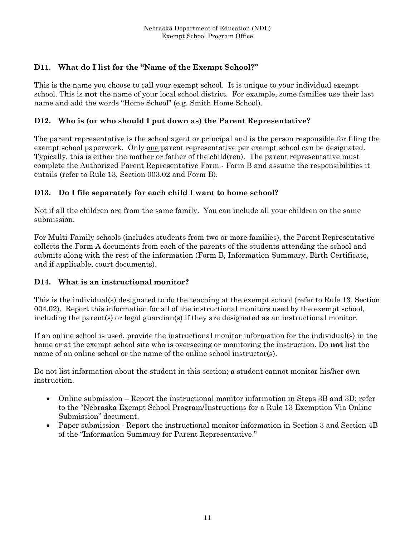## **D11. What do I list for the "Name of the Exempt School?"**

This is the name you choose to call your exempt school. It is unique to your individual exempt school. This is **not** the name of your local school district. For example, some families use their last name and add the words "Home School" (e.g. Smith Home School).

### **D12. Who is (or who should I put down as) the Parent Representative?**

The parent representative is the school agent or principal and is the person responsible for filing the exempt school paperwork. Only <u>one</u> parent representative per exempt school can be designated. Typically, this is either the mother or father of the child(ren). The parent representative must complete the Authorized Parent Representative Form - Form B and assume the responsibilities it entails (refer to Rule 13, Section 003.02 and Form B).

### **D13. Do I file separately for each child I want to home school?**

Not if all the children are from the same family. You can include all your children on the same submission.

For Multi-Family schools (includes students from two or more families), the Parent Representative collects the Form A documents from each of the parents of the students attending the school and submits along with the rest of the information (Form B, Information Summary, Birth Certificate, and if applicable, court documents).

### **D14. What is an instructional monitor?**

This is the individual(s) designated to do the teaching at the exempt school (refer to Rule 13, Section 004.02). Report this information for all of the instructional monitors used by the exempt school, including the parent(s) or legal guardian(s) if they are designated as an instructional monitor.

If an online school is used, provide the instructional monitor information for the individual(s) in the home or at the exempt school site who is overseeing or monitoring the instruction. Do **not** list the name of an online school or the name of the online school instructor(s).

Do not list information about the student in this section; a student cannot monitor his/her own instruction.

- Online submission Report the instructional monitor information in Steps 3B and 3D; refer to the "Nebraska Exempt School Program/Instructions for a Rule 13 Exemption Via Online Submission" document.
- Paper submission Report the instructional monitor information in Section 3 and Section 4B of the "Information Summary for Parent Representative."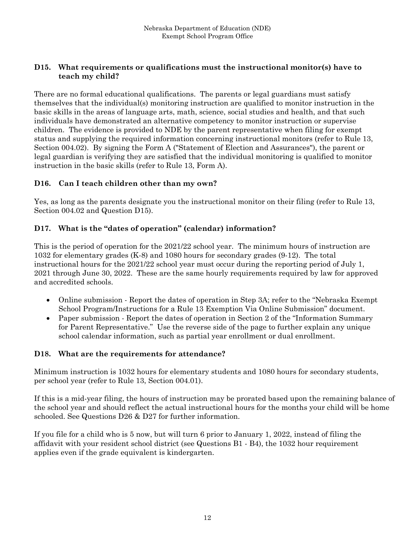#### **D15. What requirements or qualifications must the instructional monitor(s) have to teach my child?**

There are no formal educational qualifications. The parents or legal guardians must satisfy themselves that the individual(s) monitoring instruction are qualified to monitor instruction in the basic skills in the areas of language arts, math, science, social studies and health, and that such individuals have demonstrated an alternative competency to monitor instruction or supervise children. The evidence is provided to NDE by the parent representative when filing for exempt status and supplying the required information concerning instructional monitors (refer to Rule 13, Section 004.02). By signing the Form A ("Statement of Election and Assurances"), the parent or legal guardian is verifying they are satisfied that the individual monitoring is qualified to monitor instruction in the basic skills (refer to Rule 13, Form A).

### **D16. Can I teach children other than my own?**

Yes, as long as the parents designate you the instructional monitor on their filing (refer to Rule 13, Section 004.02 and Question D15).

#### **D17. What is the "dates of operation" (calendar) information?**

This is the period of operation for the 2021/22 school year. The minimum hours of instruction are 1032 for elementary grades (K-8) and 1080 hours for secondary grades (9-12). The total instructional hours for the 2021/22 school year must occur during the reporting period of July 1, 2021 through June 30, 2022. These are the same hourly requirements required by law for approved and accredited schools.

- Online submission Report the dates of operation in Step 3A; refer to the "Nebraska Exempt" School Program/Instructions for a Rule 13 Exemption Via Online Submission" document.
- Paper submission Report the dates of operation in Section 2 of the "Information Summary" for Parent Representative." Use the reverse side of the page to further explain any unique school calendar information, such as partial year enrollment or dual enrollment.

#### **D18. What are the requirements for attendance?**

Minimum instruction is 1032 hours for elementary students and 1080 hours for secondary students, per school year (refer to Rule 13, Section 004.01).

If this is a mid-year filing, the hours of instruction may be prorated based upon the remaining balance of the school year and should reflect the actual instructional hours for the months your child will be home schooled. See Questions D26 & D27 for further information.

If you file for a child who is 5 now, but will turn 6 prior to January 1, 2022, instead of filing the affidavit with your resident school district (see Questions B1 - B4), the 1032 hour requirement applies even if the grade equivalent is kindergarten.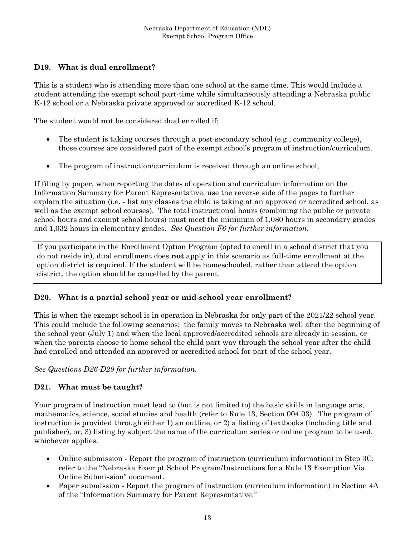### **D19. What is dual enrollment?**

This is a student who is attending more than one school at the same time. This would include a student attending the exempt school part-time while simultaneously attending a Nebraska public K-12 school or a Nebraska private approved or accredited K-12 school.

The student would **not** be considered dual enrolled if:

- The student is taking courses through a post-secondary school (e.g., community college), those courses are considered part of the exempt school's program of instruction/curriculum.
- The program of instruction/curriculum is received through an online school,

If filing by paper, when reporting the dates of operation and curriculum information on the Information Summary for Parent Representative, use the reverse side of the pages to further explain the situation (i.e. - list any classes the child is taking at an approved or accredited school, as well as the exempt school courses). The total instructional hours (combining the public or private school hours and exempt school hours) must meet the minimum of 1,080 hours in secondary grades and 1,032 hours in elementary grades. *See Question F6 for further information.* 

If you participate in the Enrollment Option Program (opted to enroll in a school district that you do not reside in), dual enrollment does **not** apply in this scenario as full-time enrollment at the option district is required. If the student will be homeschooled, rather than attend the option district, the option should be cancelled by the parent.

### **D20. What is a partial school year or mid-school year enrollment?**

This is when the exempt school is in operation in Nebraska for only part of the 2021/22 school year. This could include the following scenarios: the family moves to Nebraska well after the beginning of the school year (July 1) and when the local approved/accredited schools are already in session, or when the parents choose to home school the child part way through the school year after the child had enrolled and attended an approved or accredited school for part of the school year.

*See Questions D26-D29 for further information.* 

### **D21. What must be taught?**

Your program of instruction must lead to (but is not limited to) the basic skills in language arts, mathematics, science, social studies and health (refer to Rule 13, Section 004.03). The program of instruction is provided through either 1) an outline, or 2) a listing of textbooks (including title and publisher), or, 3) listing by subject the name of the curriculum series or online program to be used, whichever applies.

- Online submission Report the program of instruction (curriculum information) in Step 3C; refer to the "Nebraska Exempt School Program/Instructions for a Rule 13 Exemption Via Online Submission" document.
- Paper submission Report the program of instruction (curriculum information) in Section 4A of the "Information Summary for Parent Representative."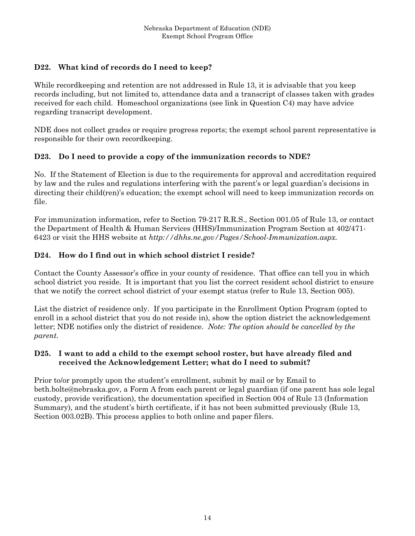### **D22. What kind of records do I need to keep?**

While recordkeeping and retention are not addressed in Rule 13, it is advisable that you keep records including, but not limited to, attendance data and a transcript of classes taken with grades received for each child. Homeschool organizations (see link in Question C4) may have advice regarding transcript development.

NDE does not collect grades or require progress reports; the exempt school parent representative is responsible for their own recordkeeping.

### **D23. Do I need to provide a copy of the immunization records to NDE?**

No. If the Statement of Election is due to the requirements for approval and accreditation required by law and the rules and regulations interfering with the parent's or legal guardian's decisions in directing their child(ren)'s education; the exempt school will need to keep immunization records on file.

For immunization information, refer to Section 79-217 R.R.S., Section 001.05 of Rule 13, or contact the Department of Health & Human Services (HHS)/Immunization Program Section at 402/471- 6423 or visit the HHS website at *http://dhhs.ne.gov/Pages/School-Immunization.aspx.*

#### **D24. How do I find out in which school district I reside?**

Contact the County Assessor's office in your county of residence. That office can tell you in which school district you reside. It is important that you list the correct resident school district to ensure that we notify the correct school district of your exempt status (refer to Rule 13, Section 005).

List the district of residence only. If you participate in the Enrollment Option Program (opted to enroll in a school district that you do not reside in), show the option district the acknowledgement letter; NDE notifies only the district of residence. *Note: The option should be cancelled by the parent.* 

#### **D25. I want to add a child to the exempt school roster, but have already filed and received the Acknowledgement Letter; what do I need to submit?**

Prior to/or promptly upon the student's enrollment, submit by mail or by Email to beth.bolte@nebraska.gov, a Form A from each parent or legal guardian (if one parent has sole legal custody, provide verification), the documentation specified in Section 004 of Rule 13 (Information Summary), and the student's birth certificate, if it has not been submitted previously (Rule 13, Section 003.02B). This process applies to both online and paper filers.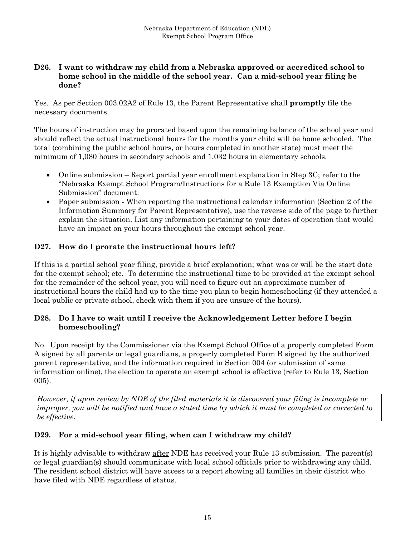#### **D26. I want to withdraw my child from a Nebraska approved or accredited school to home school in the middle of the school year. Can a mid-school year filing be done?**

Yes. As per Section 003.02A2 of Rule 13, the Parent Representative shall **promptly** file the necessary documents.

The hours of instruction may be prorated based upon the remaining balance of the school year and should reflect the actual instructional hours for the months your child will be home schooled. The total (combining the public school hours, or hours completed in another state) must meet the minimum of 1,080 hours in secondary schools and 1,032 hours in elementary schools.

- Online submission Report partial year enrollment explanation in Step 3C; refer to the "Nebraska Exempt School Program/Instructions for a Rule 13 Exemption Via Online Submission" document.
- Paper submission When reporting the instructional calendar information (Section 2 of the Information Summary for Parent Representative), use the reverse side of the page to further explain the situation. List any information pertaining to your dates of operation that would have an impact on your hours throughout the exempt school year.

### **D27. How do I prorate the instructional hours left?**

If this is a partial school year filing, provide a brief explanation; what was or will be the start date for the exempt school; etc. To determine the instructional time to be provided at the exempt school for the remainder of the school year, you will need to figure out an approximate number of instructional hours the child had up to the time you plan to begin homeschooling (if they attended a local public or private school, check with them if you are unsure of the hours).

#### **D28. Do I have to wait until I receive the Acknowledgement Letter before I begin homeschooling?**

No. Upon receipt by the Commissioner via the Exempt School Office of a properly completed Form A signed by all parents or legal guardians, a properly completed Form B signed by the authorized parent representative, and the information required in Section 004 (or submission of same information online), the election to operate an exempt school is effective (refer to Rule 13, Section 005).

*However, if upon review by NDE of the filed materials it is discovered your filing is incomplete or improper, you will be notified and have a stated time by which it must be completed or corrected to be effective.* 

### **D29. For a mid-school year filing, when can I withdraw my child?**

It is highly advisable to withdraw after NDE has received your Rule 13 submission. The parent(s) or legal guardian(s) should communicate with local school officials prior to withdrawing any child. The resident school district will have access to a report showing all families in their district who have filed with NDE regardless of status.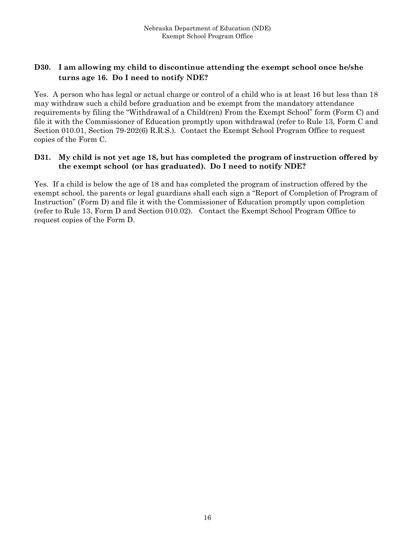### **D30. I am allowing my child to discontinue attending the exempt school once he/she turns age 16. Do I need to notify NDE?**

Yes. A person who has legal or actual charge or control of a child who is at least 16 but less than 18 may withdraw such a child before graduation and be exempt from the mandatory attendance requirements by filing the "Withdrawal of a Child(ren) From the Exempt School" form (Form C) and file it with the Commissioner of Education promptly upon withdrawal (refer to Rule 13, Form C and Section 010.01, Section 79-202(6) R.R.S.). Contact the Exempt School Program Office to request copies of the Form C.

#### **D31. My child is not yet age 18, but has completed the program of instruction offered by the exempt school (or has graduated). Do I need to notify NDE?**

Yes. If a child is below the age of 18 and has completed the program of instruction offered by the exempt school, the parents or legal guardians shall each sign a "Report of Completion of Program of Instruction" (Form D) and file it with the Commissioner of Education promptly upon completion (refer to Rule 13, Form D and Section 010.02). Contact the Exempt School Program Office to request copies of the Form D.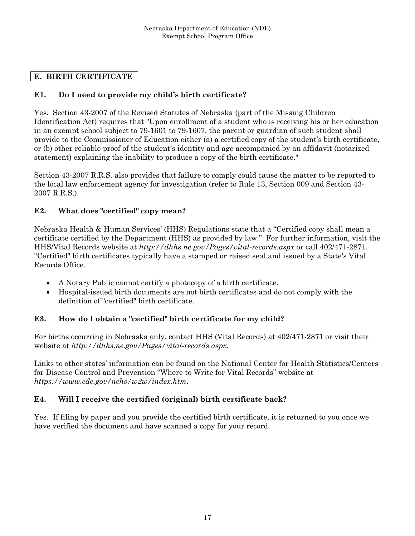## **E. BIRTH CERTIFICATE**

### **E1. Do I need to provide my child's birth certificate?**

Yes. Section 43-2007 of the Revised Statutes of Nebraska (part of the Missing Children Identification Act) requires that "Upon enrollment of a student who is receiving his or her education in an exempt school subject to 79-1601 to 79-1607, the parent or guardian of such student shall provide to the Commissioner of Education either (a) a certified copy of the student's birth certificate, or (b) other reliable proof of the student's identity and age accompanied by an affidavit (notarized statement) explaining the inability to produce a copy of the birth certificate."

Section 43-2007 R.R.S. also provides that failure to comply could cause the matter to be reported to the local law enforcement agency for investigation (refer to Rule 13, Section 009 and Section 43- 2007 R.R.S.).

#### **E2. What does "certified" copy mean?**

Nebraska Health & Human Services' (HHS) Regulations state that a "Certified copy shall mean a certificate certified by the Department (HHS) as provided by law." For further information, visit the HHS/Vital Records website at *http://dhhs.ne.gov/Pages/vital-records.aspx* or call 402/471-2871. "Certified" birth certificates typically have a stamped or raised seal and issued by a State's Vital Records Office.

- A Notary Public cannot certify a photocopy of a birth certificate.
- Hospital-issued birth documents are not birth certificates and do not comply with the definition of "certified" birth certificate.

### **E3. How do I obtain a "certified" birth certificate for my child?**

For births occurring in Nebraska only, contact HHS (Vital Records) at 402/471-2871 or visit their website at *http://dhhs.ne.gov/Pages/vital-records.aspx.*

Links to other states' information can be found on the National Center for Health Statistics/Centers for Disease Control and Prevention "Where to Write for Vital Records" website at *https://www.cdc.gov/nchs/w2w/index.htm*.

### **E4. Will I receive the certified (original) birth certificate back?**

Yes. If filing by paper and you provide the certified birth certificate, it is returned to you once we have verified the document and have scanned a copy for your record.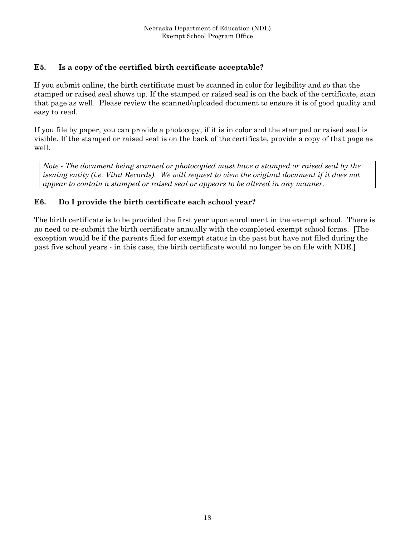### **E5. Is a copy of the certified birth certificate acceptable?**

If you submit online, the birth certificate must be scanned in color for legibility and so that the stamped or raised seal shows up. If the stamped or raised seal is on the back of the certificate, scan that page as well. Please review the scanned/uploaded document to ensure it is of good quality and easy to read.

If you file by paper, you can provide a photocopy, if it is in color and the stamped or raised seal is visible. If the stamped or raised seal is on the back of the certificate, provide a copy of that page as well.

*Note - The document being scanned or photocopied must have a stamped or raised seal by the issuing entity (i.e. Vital Records). We will request to view the original document if it does not appear to contain a stamped or raised seal or appears to be altered in any manner.* 

#### **E6. Do I provide the birth certificate each school year?**

The birth certificate is to be provided the first year upon enrollment in the exempt school. There is no need to re-submit the birth certificate annually with the completed exempt school forms. [The exception would be if the parents filed for exempt status in the past but have not filed during the past five school years - in this case, the birth certificate would no longer be on file with NDE.]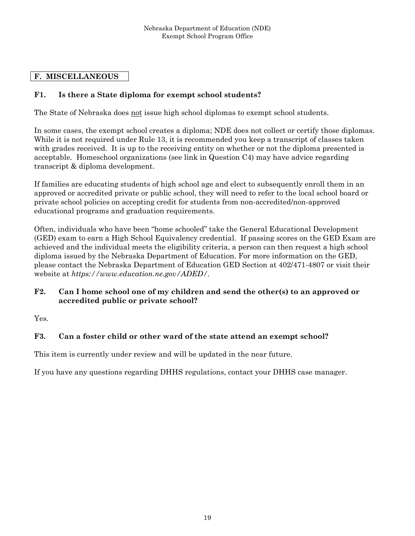### **F. MISCELLANEOUS**

### **F1. Is there a State diploma for exempt school students?**

The State of Nebraska does not issue high school diplomas to exempt school students.

In some cases, the exempt school creates a diploma; NDE does not collect or certify those diplomas. While it is not required under Rule 13, it is recommended you keep a transcript of classes taken with grades received. It is up to the receiving entity on whether or not the diploma presented is acceptable. Homeschool organizations (see link in Question C4) may have advice regarding transcript & diploma development.

If families are educating students of high school age and elect to subsequently enroll them in an approved or accredited private or public school, they will need to refer to the local school board or private school policies on accepting credit for students from non-accredited/non-approved educational programs and graduation requirements.

Often, individuals who have been "home schooled" take the General Educational Development (GED) exam to earn a High School Equivalency credential. If passing scores on the GED Exam are achieved and the individual meets the eligibility criteria, a person can then request a high school diploma issued by the Nebraska Department of Education. For more information on the GED, please contact the Nebraska Department of Education GED Section at 402/471-4807 or visit their website at *https://www.education.ne.gov/ADED/*.

#### **F2. Can I home school one of my children and send the other(s) to an approved or accredited public or private school?**

Yes.

### **F3. Can a foster child or other ward of the state attend an exempt school?**

This item is currently under review and will be updated in the near future.

If you have any questions regarding DHHS regulations, contact your DHHS case manager.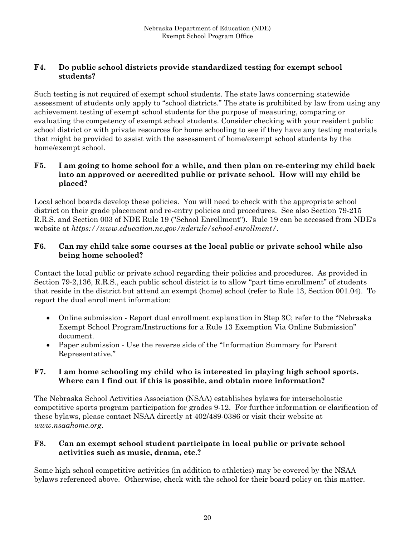### **F4. Do public school districts provide standardized testing for exempt school students?**

Such testing is not required of exempt school students. The state laws concerning statewide assessment of students only apply to "school districts." The state is prohibited by law from using any achievement testing of exempt school students for the purpose of measuring, comparing or evaluating the competency of exempt school students. Consider checking with your resident public school district or with private resources for home schooling to see if they have any testing materials that might be provided to assist with the assessment of home/exempt school students by the home/exempt school.

### **F5. I am going to home school for a while, and then plan on re-entering my child back into an approved or accredited public or private school. How will my child be placed?**

Local school boards develop these policies. You will need to check with the appropriate school district on their grade placement and re-entry policies and procedures. See also Section 79-215 R.R.S. and Section 003 of NDE Rule 19 ("School Enrollment"). Rule 19 can be accessed from NDE's website at *https://www.education.ne.gov/nderule/school-enrollment/.*

### **F6. Can my child take some courses at the local public or private school while also being home schooled?**

Contact the local public or private school regarding their policies and procedures. As provided in Section 79-2,136, R.R.S., each public school district is to allow "part time enrollment" of students that reside in the district but attend an exempt (home) school (refer to Rule 13, Section 001.04). To report the dual enrollment information:

- Online submission Report dual enrollment explanation in Step 3C; refer to the "Nebraska" Exempt School Program/Instructions for a Rule 13 Exemption Via Online Submission" document.
- Paper submission Use the reverse side of the "Information Summary for Parent Representative."

#### **F7. I am home schooling my child who is interested in playing high school sports. Where can I find out if this is possible, and obtain more information?**

The Nebraska School Activities Association (NSAA) establishes bylaws for interscholastic competitive sports program participation for grades 9-12. For further information or clarification of these bylaws, please contact NSAA directly at 402/489-0386 or visit their website at *www.nsaahome.org*.

### **F8. Can an exempt school student participate in local public or private school activities such as music, drama, etc.?**

Some high school competitive activities (in addition to athletics) may be covered by the NSAA bylaws referenced above. Otherwise, check with the school for their board policy on this matter.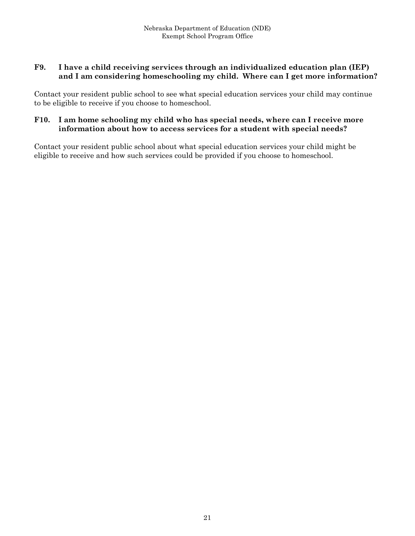#### **F9. I have a child receiving services through an individualized education plan (IEP) and I am considering homeschooling my child. Where can I get more information?**

Contact your resident public school to see what special education services your child may continue to be eligible to receive if you choose to homeschool.

#### **F10. I am home schooling my child who has special needs, where can I receive more information about how to access services for a student with special needs?**

Contact your resident public school about what special education services your child might be eligible to receive and how such services could be provided if you choose to homeschool.